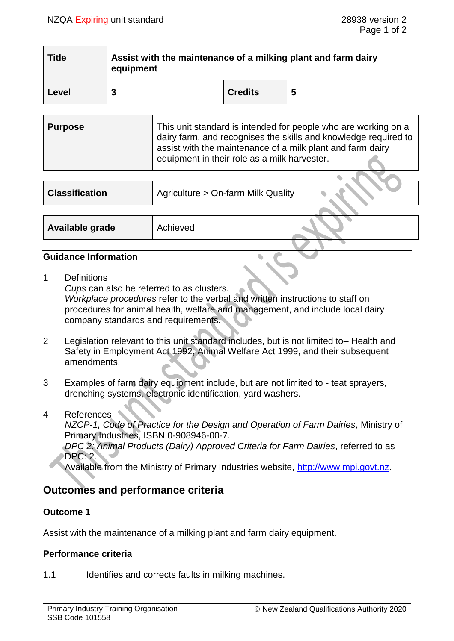| <b>Title</b> | Assist with the maintenance of a milking plant and farm dairy<br>equipment |                |   |
|--------------|----------------------------------------------------------------------------|----------------|---|
| Level        |                                                                            | <b>Credits</b> | 5 |

| <b>Purpose</b> | This unit standard is intended for people who are working on a<br>dairy farm, and recognises the skills and knowledge required to<br>assist with the maintenance of a milk plant and farm dairy<br>equipment in their role as a milk harvester. |
|----------------|-------------------------------------------------------------------------------------------------------------------------------------------------------------------------------------------------------------------------------------------------|
|                |                                                                                                                                                                                                                                                 |

| <b>Classification</b> | Agriculture > On-farm Milk Quality |  |
|-----------------------|------------------------------------|--|
|                       |                                    |  |
| Available grade       | Achieved                           |  |

## **Guidance Information**

1 Definitions

*Cups* can also be referred to as clusters. *Workplace procedures* refer to the verbal and written instructions to staff on procedures for animal health, welfare and management, and include local dairy company standards and requirements.

- 2 Legislation relevant to this unit standard includes, but is not limited to– Health and Safety in Employment Act 1992, Animal Welfare Act 1999, and their subsequent amendments.
- 3 Examples of farm dairy equipment include, but are not limited to teat sprayers, drenching systems, electronic identification, yard washers.
- 4 References *NZCP-1, Code of Practice for the Design and Operation of Farm Dairies*, Ministry of Primary Industries, ISBN 0-908946-00-7. *DPC 2: Animal Products (Dairy) Approved Criteria for Farm Dairies*, referred to as DPC: 2.

Available from the Ministry of Primary Industries website, [http://www.mpi.govt.nz.](http://www.mpi.govt.nz/)

## **Outcomes and performance criteria**

## **Outcome 1**

Assist with the maintenance of a milking plant and farm dairy equipment.

## **Performance criteria**

1.1 Identifies and corrects faults in milking machines.